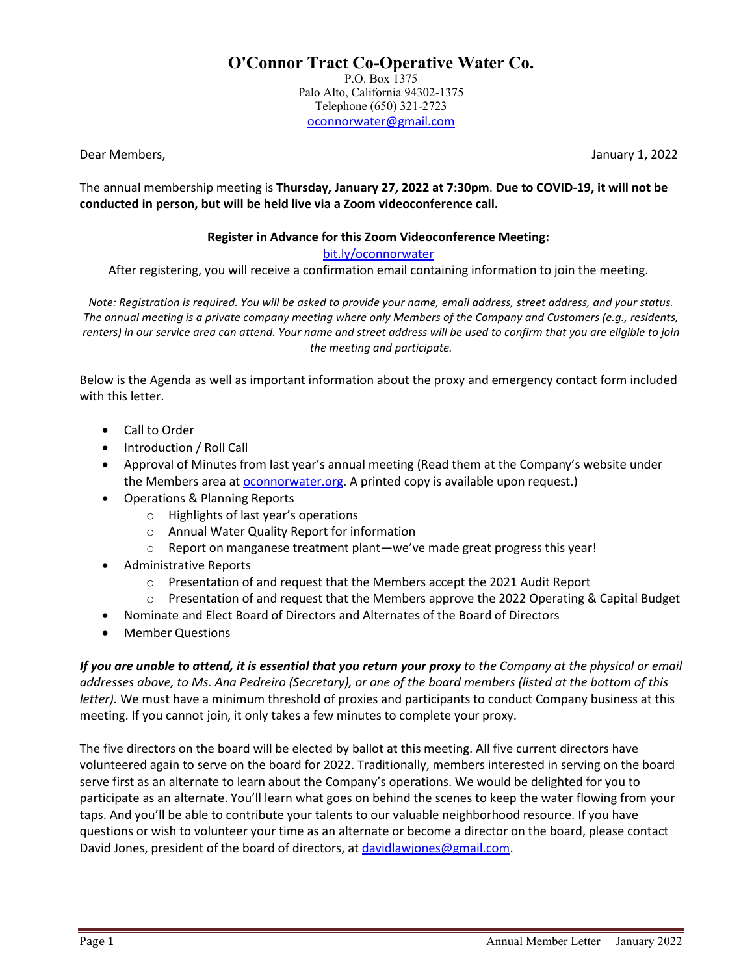**O'Connor Tract Co-Operative Water Co.** P.O. Box 1375 Palo Alto, California 94302-1375 Telephone (650) 321-2723 [oconnorwater@gmail.com](mailto:oconnorwater@gmail.com)

Dear Members, The Communication of the Communication of the Communication of the Communication of the Communication of the Communication of the Communication of the Communication of the Communication of the Communication o

The annual membership meeting is **Thursday, January 27, 2022 at 7:30pm**. **Due to COVID-19, it will not be conducted in person, but will be held live via a Zoom videoconference call.**

## **Register in Advance for this Zoom Videoconference Meeting:**

## [bit.ly/oconnorwater](https://bit.ly/oconnorwater)

After registering, you will receive a confirmation email containing information to join the meeting.

*Note: Registration is required. You will be asked to provide your name, email address, street address, and your status. The annual meeting is a private company meeting where only Members of the Company and Customers (e.g., residents, renters) in our service area can attend. Your name and street address will be used to confirm that you are eligible to join the meeting and participate.* 

Below is the Agenda as well as important information about the proxy and emergency contact form included with this letter.

- Call to Order
- Introduction / Roll Call
- Approval of Minutes from last year's annual meeting (Read them at the Company's website under the Members area at **oconnorwater.org**. A printed copy is available upon request.)
- Operations & Planning Reports
	- o Highlights of last year's operations
	- o Annual Water Quality Report for information
	- o Report on manganese treatment plant—we've made great progress this year!
- Administrative Reports
	- o Presentation of and request that the Members accept the 2021 Audit Report
	- $\circ$  Presentation of and request that the Members approve the 2022 Operating & Capital Budget
- Nominate and Elect Board of Directors and Alternates of the Board of Directors
- Member Questions

*If you are unable to attend, it is essential that you return your proxy to the Company at the physical or email addresses above, to Ms. Ana Pedreiro (Secretary), or one of the board members (listed at the bottom of this letter).* We must have a minimum threshold of proxies and participants to conduct Company business at this meeting. If you cannot join, it only takes a few minutes to complete your proxy.

The five directors on the board will be elected by ballot at this meeting. All five current directors have volunteered again to serve on the board for 2022. Traditionally, members interested in serving on the board serve first as an alternate to learn about the Company's operations. We would be delighted for you to participate as an alternate. You'll learn what goes on behind the scenes to keep the water flowing from your taps. And you'll be able to contribute your talents to our valuable neighborhood resource. If you have questions or wish to volunteer your time as an alternate or become a director on the board, please contact David Jones, president of the board of directors, at [davidlawjones@gmail.com.](mailto:davidlawjones@gmail.com)